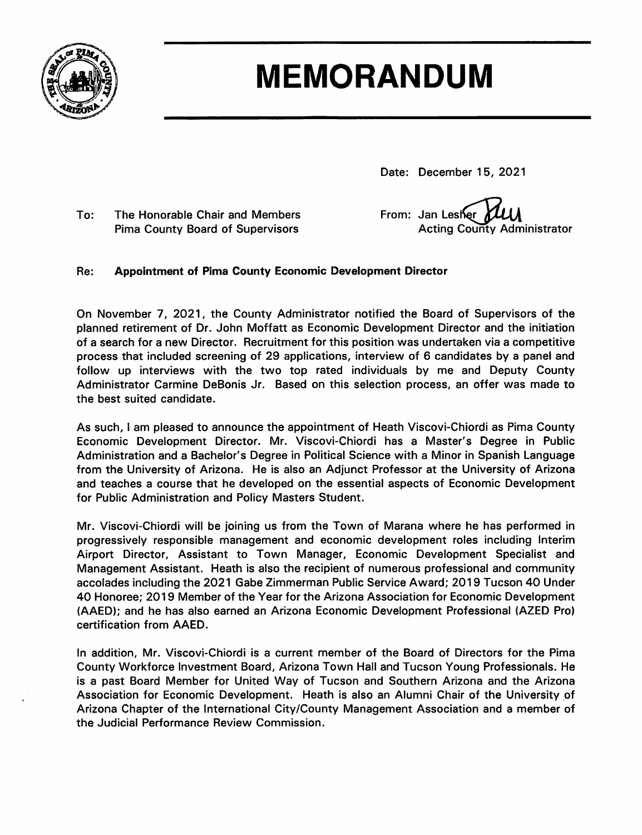

# **MEMORANDUM**

Date: December 15, 2021

To: The Honorable Chair and Members **Pima County Board of Supervisors** 

From: Jan Lesher **Acting County Administrator** 

#### Re: **Appointment of Pima County Economic Development Director**

On November 7, 2021, the County Administrator notified the Board of Supervisors of the planned retirement of Dr. John Moffatt as Economic Development Director and the initiation of a search for a new Director. Recruitment for this position was undertaken via a competitive process that included screening of 29 applications, interview of 6 candidates by a panel and follow up interviews with the two top rated individuals by me and Deputy County Administrator Carmine DeBonis Jr. Based on this selection process, an offer was made to the best suited candidate.

As such, I am pleased to announce the appointment of Heath Viscovi-Chiordi as Pima County Economic Development Director. Mr. Viscovi-Chiordi has a Master's Degree in Public Administration and a Bachelor's Degree in Political Science with a Minor in Spanish Language from the University of Arizona. He is also an Adjunct Professor at the University of Arizona and teaches a course that he developed on the essential aspects of Economic Development for Public Administration and Policy Masters Student.

Mr. Viscovi-Chiordi will be joining us from the Town of Marana where he has performed in progressively responsible management and economic development roles including Interim Airport Director, Assistant to Town Manager, Economic Development Specialist and Management Assistant. Heath is also the recipient of numerous professional and community accolades including the 2021 Gabe Zimmerman Public Service Award; 2019 Tucson 40 Under 40 Honoree; 2019 Member of the Year for the Arizona Association for Economic Development (AAED); and he has also earned an Arizona Economic Development Professional (AZED Pro) certification from AAED.

In addition, Mr. Viscovi-Chiordi is a current member of the Board of Directors for the Pima County Workforce Investment Board, Arizona Town Hall and Tucson Young Professionals. He is a past Board Member for United Way of Tucson and Southern Arizona and the Arizona Association for Economic Development. Heath is also an Alumni Chair of the University of Arizona Chapter of the International City/County Management Association and a member of the Judicial Performance Review Commission.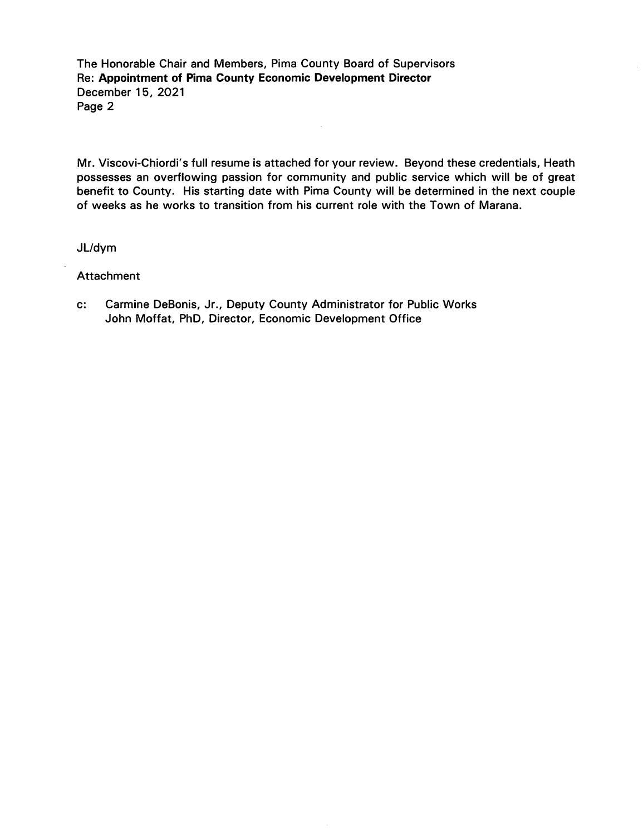The Honorable Chair and Members, Pima County Board of Supervisors Re: Appointment of Pima County Economic Development Director December 15, 2021 Page 2

Mr. Viscovi-Chiordi's full resume is attached for your review. Beyond these credentials, Heath possesses an overflowing passion for community and public service which will be of great benefit to County. His starting date with Pima County will be determined in the next couple of weeks as he works to transition from his current role with the Town of Marana.

 $\sim$ 

JL/dym

Attachment

 $\mathbf{c}$ : Carmine DeBonis, Jr., Deputy County Administrator for Public Works John Moffat, PhD, Director, Economic Development Office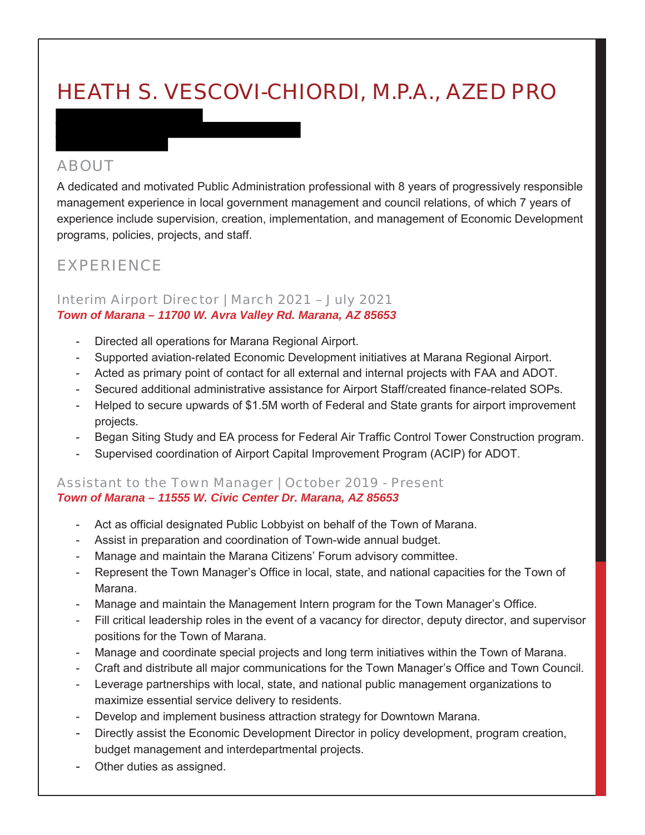## HEATH S. VESCOVI-CHIORDI, M.P.A., AZED PRO

#### ABOUT

A dedicated and motivated Public Administration professional with 8 years of progressively responsible management experience in local government management and council relations, of which 7 years of experience include supervision, creation, implementation, and management of Economic Development programs, policies, projects, and staff.

#### EXPERIENCE

#### Interim Airport Director | March 2021 – July 2021 *Town of Marana – 11700 W. Avra Valley Rd. Marana, AZ 85653*

- Directed all operations for Marana Regional Airport.
- Supported aviation-related Economic Development initiatives at Marana Regional Airport.
- Acted as primary point of contact for all external and internal projects with FAA and ADOT.
- Secured additional administrative assistance for Airport Staff/created finance-related SOPs.
- Helped to secure upwards of \$1.5M worth of Federal and State grants for airport improvement projects.
- Began Siting Study and EA process for Federal Air Traffic Control Tower Construction program.
- Supervised coordination of Airport Capital Improvement Program (ACIP) for ADOT.

#### Assistant to the Town Manager | October 2019 - Present *Town of Marana – 11555 W. Civic Center Dr. Marana, AZ 85653*

- Act as official designated Public Lobbyist on behalf of the Town of Marana.
- Assist in preparation and coordination of Town-wide annual budget.
- Manage and maintain the Marana Citizens' Forum advisory committee.
- Represent the Town Manager's Office in local, state, and national capacities for the Town of Marana.
- Manage and maintain the Management Intern program for the Town Manager's Office.
- Fill critical leadership roles in the event of a vacancy for director, deputy director, and supervisor positions for the Town of Marana.
- Manage and coordinate special projects and long term initiatives within the Town of Marana.
- Craft and distribute all major communications for the Town Manager's Office and Town Council.
- Leverage partnerships with local, state, and national public management organizations to maximize essential service delivery to residents.
- Develop and implement business attraction strategy for Downtown Marana.
- Directly assist the Economic Development Director in policy development, program creation, budget management and interdepartmental projects.
- Other duties as assigned.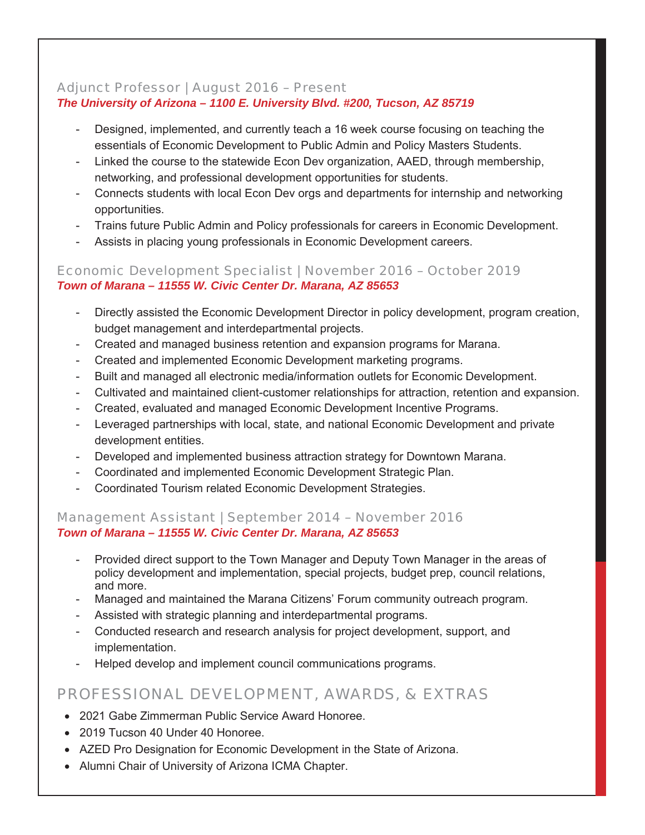#### Adjunct Professor | August 2016 – Present *The University of Arizona – 1100 E. University Blvd. #200, Tucson, AZ 85719*

- Designed, implemented, and currently teach a 16 week course focusing on teaching the essentials of Economic Development to Public Admin and Policy Masters Students.
- Linked the course to the statewide Econ Dev organization, AAED, through membership, networking, and professional development opportunities for students.
- Connects students with local Econ Dev orgs and departments for internship and networking opportunities.
- Trains future Public Admin and Policy professionals for careers in Economic Development.
- Assists in placing young professionals in Economic Development careers.

#### Economic Development Specialist | November 2016 – October 2019 *Town of Marana – 11555 W. Civic Center Dr. Marana, AZ 85653*

- Directly assisted the Economic Development Director in policy development, program creation, budget management and interdepartmental projects.
- Created and managed business retention and expansion programs for Marana.
- Created and implemented Economic Development marketing programs.
- Built and managed all electronic media/information outlets for Economic Development.
- Cultivated and maintained client-customer relationships for attraction, retention and expansion.
- Created, evaluated and managed Economic Development Incentive Programs.
- Leveraged partnerships with local, state, and national Economic Development and private development entities.
- Developed and implemented business attraction strategy for Downtown Marana.
- Coordinated and implemented Economic Development Strategic Plan.
- Coordinated Tourism related Economic Development Strategies.

#### Management Assistant | September 2014 – November 2016 *Town of Marana – 11555 W. Civic Center Dr. Marana, AZ 85653*

- Provided direct support to the Town Manager and Deputy Town Manager in the areas of policy development and implementation, special projects, budget prep, council relations, and more.
- Managed and maintained the Marana Citizens' Forum community outreach program.
- Assisted with strategic planning and interdepartmental programs.
- Conducted research and research analysis for project development, support, and implementation.
- Helped develop and implement council communications programs.

### PROFESSIONAL DEVELOPMENT, AWARDS, & EXTRAS

- 2021 Gabe Zimmerman Public Service Award Honoree
- 2019 Tucson 40 Under 40 Honoree.
- AZED Pro Designation for Economic Development in the State of Arizona.
- Alumni Chair of University of Arizona ICMA Chapter.